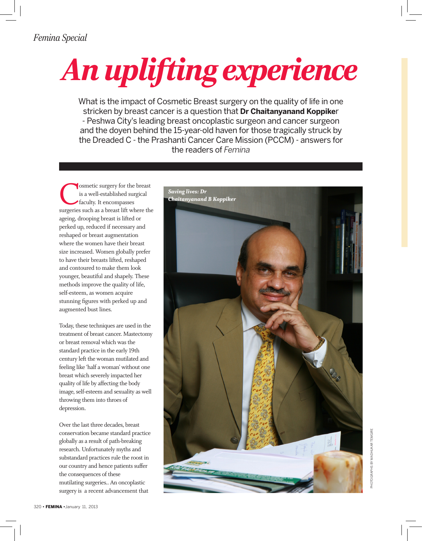## *An uplifting experience*

What is the impact of Cosmetic Breast surgery on the quality of life in one stricken by breast cancer is a question that **Dr Chaitanyanand Koppike**r - Peshwa City's leading breast oncoplastic surgeon and cancer surgeon and the doyen behind the 15-year-old haven for those tragically struck by the Dreaded C - the Prashanti Cancer Care Mission (PCCM) - answers for the readers of *Femina* 

Cosmetic surgery for the breast surgeries such as a breast lift where the is a well-established surgical faculty. It encompasses ageing, drooping breast is lifted or perked up, reduced if necessary and reshaped or breast augmentation where the women have their breast size increased. Women globally prefer to have their breasts lifted, reshaped and contoured to make them look younger, beautiful and shapely. These methods improve the quality of life, self-esteem, as women acquire stunning figures with perked up and augmented bust lines.

Today, these techniques are used in the treatment of breast cancer. Mastectomy or breast removal which was the standard practice in the early 19th century left the woman mutilated and feeling like 'half a woman' without one breast which severely impacted her quality of life by affecting the body image, self-esteem and sexuality as well throwing them into throes of depression.

Over the last three decades, breast conservation became standard practice globally as a result of path-breaking research. Unfortunately myths and substandard practices rule the roost in our country and hence patients suffer the consequences of these mutilating surgeries.. An oncoplastic surgery is a recent advancement that